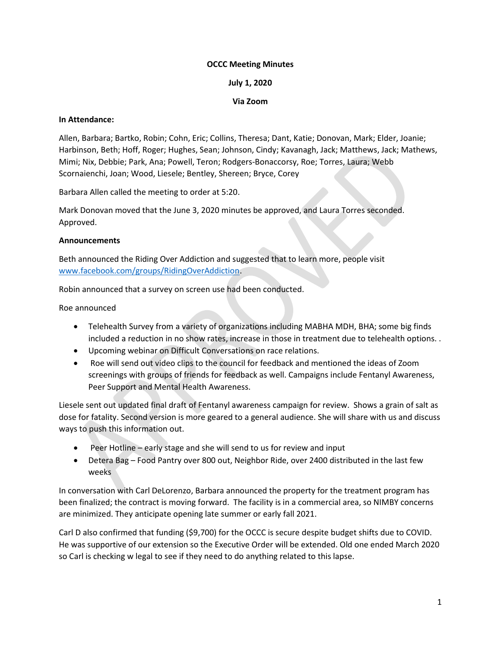## OCCC Meeting Minutes

### July 1, 2020

## Via Zoom

#### In Attendance:

Allen, Barbara; Bartko, Robin; Cohn, Eric; Collins, Theresa; Dant, Katie; Donovan, Mark; Elder, Joanie; Harbinson, Beth; Hoff, Roger; Hughes, Sean; Johnson, Cindy; Kavanagh, Jack; Matthews, Jack; Mathews, Mimi; Nix, Debbie; Park, Ana; Powell, Teron; Rodgers-Bonaccorsy, Roe; Torres, Laura; Webb Scornaienchi, Joan; Wood, Liesele; Bentley, Shereen; Bryce, Corey

Barbara Allen called the meeting to order at 5:20.

Mark Donovan moved that the June 3, 2020 minutes be approved, and Laura Torres seconded. Approved.

#### Announcements

Beth announced the Riding Over Addiction and suggested that to learn more, people visit www.facebook.com/groups/RidingOverAddiction.

Robin announced that a survey on screen use had been conducted.

Roe announced

- Telehealth Survey from a variety of organizations including MABHA MDH, BHA; some big finds included a reduction in no show rates, increase in those in treatment due to telehealth options. .
- Upcoming webinar on Difficult Conversations on race relations.
- Roe will send out video clips to the council for feedback and mentioned the ideas of Zoom screenings with groups of friends for feedback as well. Campaigns include Fentanyl Awareness, Peer Support and Mental Health Awareness.

Liesele sent out updated final draft of Fentanyl awareness campaign for review. Shows a grain of salt as dose for fatality. Second version is more geared to a general audience. She will share with us and discuss ways to push this information out.

- Peer Hotline early stage and she will send to us for review and input
- Detera Bag Food Pantry over 800 out, Neighbor Ride, over 2400 distributed in the last few weeks

In conversation with Carl DeLorenzo, Barbara announced the property for the treatment program has been finalized; the contract is moving forward. The facility is in a commercial area, so NIMBY concerns are minimized. They anticipate opening late summer or early fall 2021.

Carl D also confirmed that funding (\$9,700) for the OCCC is secure despite budget shifts due to COVID. He was supportive of our extension so the Executive Order will be extended. Old one ended March 2020 so Carl is checking w legal to see if they need to do anything related to this lapse.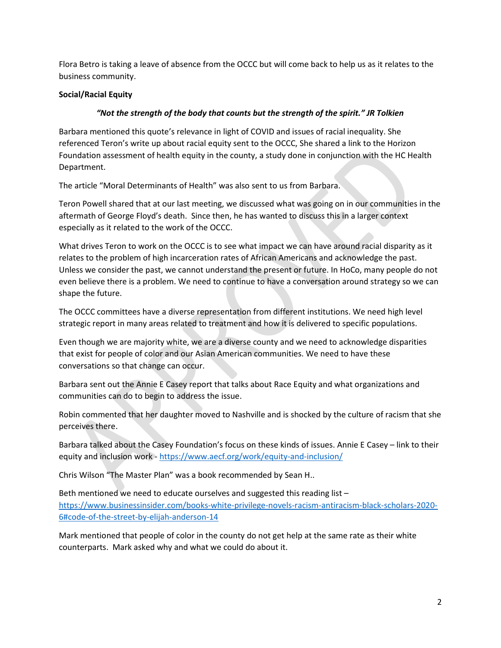Flora Betro is taking a leave of absence from the OCCC but will come back to help us as it relates to the business community.

# Social/Racial Equity

## "Not the strength of the body that counts but the strength of the spirit." JR Tolkien

Barbara mentioned this quote's relevance in light of COVID and issues of racial inequality. She referenced Teron's write up about racial equity sent to the OCCC, She shared a link to the Horizon Foundation assessment of health equity in the county, a study done in conjunction with the HC Health Department.

The article "Moral Determinants of Health" was also sent to us from Barbara.

Teron Powell shared that at our last meeting, we discussed what was going on in our communities in the aftermath of George Floyd's death. Since then, he has wanted to discuss this in a larger context especially as it related to the work of the OCCC.

What drives Teron to work on the OCCC is to see what impact we can have around racial disparity as it relates to the problem of high incarceration rates of African Americans and acknowledge the past. Unless we consider the past, we cannot understand the present or future. In HoCo, many people do not even believe there is a problem. We need to continue to have a conversation around strategy so we can shape the future.

The OCCC committees have a diverse representation from different institutions. We need high level strategic report in many areas related to treatment and how it is delivered to specific populations.

Even though we are majority white, we are a diverse county and we need to acknowledge disparities that exist for people of color and our Asian American communities. We need to have these conversations so that change can occur.

Barbara sent out the Annie E Casey report that talks about Race Equity and what organizations and communities can do to begin to address the issue.

Robin commented that her daughter moved to Nashville and is shocked by the culture of racism that she perceives there.

Barbara talked about the Casey Foundation's focus on these kinds of issues. Annie E Casey – link to their equity and inclusion work - https://www.aecf.org/work/equity-and-inclusion/

Chris Wilson "The Master Plan" was a book recommended by Sean H..

Beth mentioned we need to educate ourselves and suggested this reading list – https://www.businessinsider.com/books-white-privilege-novels-racism-antiracism-black-scholars-2020- 6#code-of-the-street-by-elijah-anderson-14

Mark mentioned that people of color in the county do not get help at the same rate as their white counterparts. Mark asked why and what we could do about it.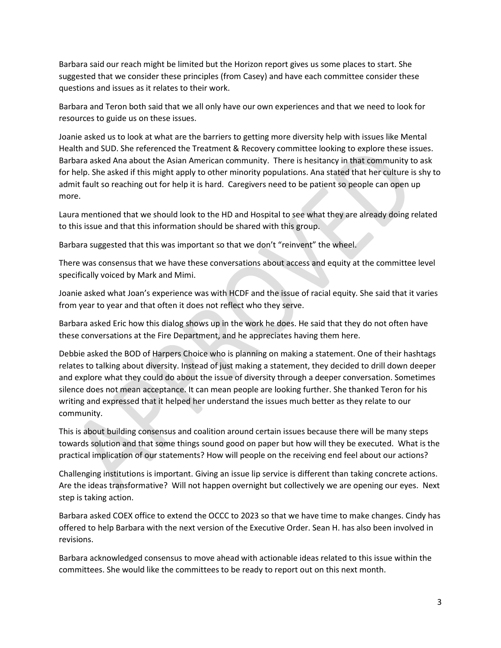Barbara said our reach might be limited but the Horizon report gives us some places to start. She suggested that we consider these principles (from Casey) and have each committee consider these questions and issues as it relates to their work.

Barbara and Teron both said that we all only have our own experiences and that we need to look for resources to guide us on these issues.

Joanie asked us to look at what are the barriers to getting more diversity help with issues like Mental Health and SUD. She referenced the Treatment & Recovery committee looking to explore these issues. Barbara asked Ana about the Asian American community. There is hesitancy in that community to ask for help. She asked if this might apply to other minority populations. Ana stated that her culture is shy to admit fault so reaching out for help it is hard. Caregivers need to be patient so people can open up more.

Laura mentioned that we should look to the HD and Hospital to see what they are already doing related to this issue and that this information should be shared with this group.

Barbara suggested that this was important so that we don't "reinvent" the wheel.

There was consensus that we have these conversations about access and equity at the committee level specifically voiced by Mark and Mimi.

Joanie asked what Joan's experience was with HCDF and the issue of racial equity. She said that it varies from year to year and that often it does not reflect who they serve.

Barbara asked Eric how this dialog shows up in the work he does. He said that they do not often have these conversations at the Fire Department, and he appreciates having them here.

Debbie asked the BOD of Harpers Choice who is planning on making a statement. One of their hashtags relates to talking about diversity. Instead of just making a statement, they decided to drill down deeper and explore what they could do about the issue of diversity through a deeper conversation. Sometimes silence does not mean acceptance. It can mean people are looking further. She thanked Teron for his writing and expressed that it helped her understand the issues much better as they relate to our community.

This is about building consensus and coalition around certain issues because there will be many steps towards solution and that some things sound good on paper but how will they be executed. What is the practical implication of our statements? How will people on the receiving end feel about our actions?

Challenging institutions is important. Giving an issue lip service is different than taking concrete actions. Are the ideas transformative? Will not happen overnight but collectively we are opening our eyes. Next step is taking action.

Barbara asked COEX office to extend the OCCC to 2023 so that we have time to make changes. Cindy has offered to help Barbara with the next version of the Executive Order. Sean H. has also been involved in revisions.

Barbara acknowledged consensus to move ahead with actionable ideas related to this issue within the committees. She would like the committees to be ready to report out on this next month.